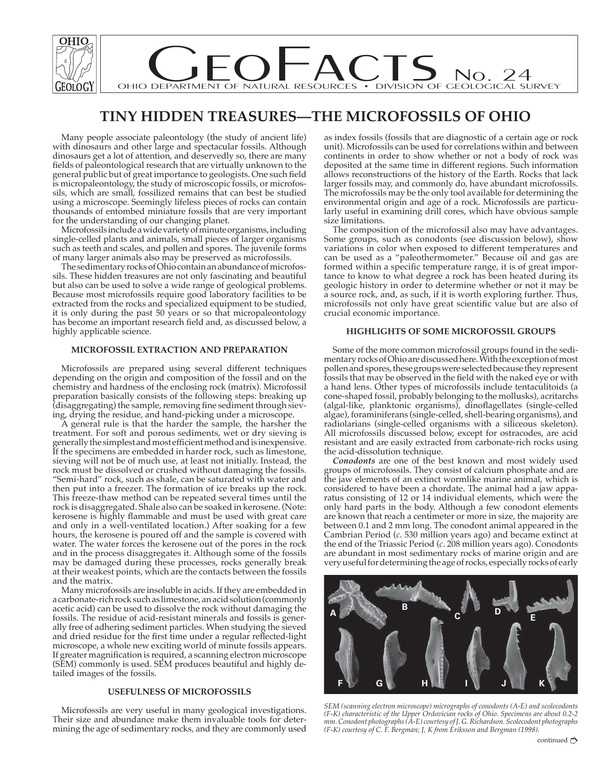

# **TINY HIDDEN TREASURES—THE MICROFOSSILS OF OHIO**

Many people associate paleontology (the study of ancient life) with dinosaurs and other large and spectacular fossils. Although dinosaurs get a lot of attention, and deservedly so, there are many fields of paleontological research that are virtually unknown to the general public but of great importance to geologists. One such field is micropaleontology, the study of microscopic fossils, or microfossils, which are small, fossilized remains that can best be studied using a microscope. Seemingly lifeless pieces of rocks can contain thousands of entombed miniature fossils that are very important for the understanding of our changing planet.

Microfossils include a wide variety of minute organisms, including single-celled plants and animals, small pieces of larger organisms such as teeth and scales, and pollen and spores. The juvenile forms of many larger animals also may be preserved as microfossils.

The sedimentary rocks of Ohio contain an abundance of microfossils. These hidden treasures are not only fascinating and beautiful but also can be used to solve a wide range of geological problems. Because most microfossils require good laboratory facilities to be extracted from the rocks and specialized equipment to be studied, it is only during the past 50 years or so that micropaleontology has become an important research field and, as discussed below, a highly applicable science.

### **MICROFOSSIL EXTRACTION AND PREPARATION**

Microfossils are prepared using several different techniques depending on the origin and composition of the fossil and on the chemistry and hardness of the enclosing rock (matrix). Microfossil preparation basically consists of the following steps: breaking up (disaggregating) the sample, removing fine sediment through sieving, drying the residue, and hand-picking under a microscope.

A general rule is that the harder the sample, the harsher the treatment. For soft and porous sediments, wet or dry sieving is generally the simplest and most efficient method and is inexpensive. If the specimens are embedded in harder rock, such as limestone, sieving will not be of much use, at least not initially. Instead, the rock must be dissolved or crushed without damaging the fossils. "Semi-hard" rock, such as shale, can be saturated with water and then put into a freezer. The formation of ice breaks up the rock. This freeze-thaw method can be repeated several times until the rock is disaggregated. Shale also can be soaked in kerosene. (Note: kerosene is highly flammable and must be used with great care and only in a well-ventilated location.) After soaking for a few hours, the kerosene is poured off and the sample is covered with water. The water forces the kerosene out of the pores in the rock and in the process disaggregates it. Although some of the fossils may be damaged during these processes, rocks generally break at their weakest points, which are the contacts between the fossils and the matrix.

Many microfossils are insoluble in acids. If they are embedded in a carbonate-rich rock such as limestone, an acid solution (commonly acetic acid) can be used to dissolve the rock without damaging the fossils. The residue of acid-resistant minerals and fossils is generally free of adhering sediment particles. When studying the sieved and dried residue for the first time under a regular reflected-light microscope, a whole new exciting world of minute fossils appears. If greater magnification is required, a scanning electron microscope (SEM) commonly is used. SEM produces beautiful and highly detailed images of the fossils.

#### **USEFULNESS OF MICROFOSSILS**

Microfossils are very useful in many geological investigations. Their size and abundance make them invaluable tools for determining the age of sedimentary rocks, and they are commonly used

as index fossils (fossils that are diagnostic of a certain age or rock unit). Microfossils can be used for correlations within and between continents in order to show whether or not a body of rock was deposited at the same time in different regions. Such information allows reconstructions of the history of the Earth. Rocks that lack larger fossils may, and commonly do, have abundant microfossils. The microfossils may be the only tool available for determining the environmental origin and age of a rock. Microfossils are particularly useful in examining drill cores, which have obvious sample size limitations.

The composition of the microfossil also may have advantages. Some groups, such as conodonts (see discussion below), show variations in color when exposed to different temperatures and can be used as a "paleothermometer." Because oil and gas are formed within a specific temperature range, it is of great importance to know to what degree a rock has been heated during its geologic history in order to determine whether or not it may be a source rock, and, as such, if it is worth exploring further. Thus, microfossils not only have great scientific value but are also of crucial economic importance.

## **HIGHLIGHTS OF SOME MICROFOSSIL GROUPS**

Some of the more common microfossil groups found in the sedimentary rocks of Ohio are discussed here. With the exception of most pollen and spores, these groups were selected because they represent fossils that may be observed in the field with the naked eye or with a hand lens. Other types of microfossils include tentaculitoids (a cone-shaped fossil, probably belonging to the mollusks), acritarchs (algal-like, planktonic organisms), dinoflagellates (single-celled algae), foraminiferans (single-celled, shell-bearing organisms), and radiolarians (single-celled organisms with a siliceous skeleton). All microfossils discussed below, except for ostracodes, are acid resistant and are easily extracted from carbonate-rich rocks using the acid-dissolution technique.

*Conodonts* are one of the best known and most widely used groups of microfossils. They consist of calcium phosphate and are the jaw elements of an extinct wormlike marine animal, which is considered to have been a chordate. The animal had a jaw apparatus consisting of 12 or 14 individual elements, which were the only hard parts in the body. Although a few conodont elements are known that reach a centimeter or more in size, the majority are between 0.1 and 2 mm long. The conodont animal appeared in the Cambrian Period (*c*. 530 million years ago) and became extinct at the end of the Triassic Period (*c*. 208 million years ago). Conodonts are abundant in most sedimentary rocks of marine origin and are very useful for determining the age of rocks, especially rocks of early



*SEM (scanning electron microscope) micrographs of conodonts (A-E) and scolecodonts (F-K) characteristic of the Upper Ordovician rocks of Ohio. Specimens are about 0.2-2 mm. Conodont photographs (A-E) courtesy of J. G. Richardson. Scolecodont photographs (F-K) courtesy of C. F. Bergman; J, K from Eriksson and Bergman (1998).*